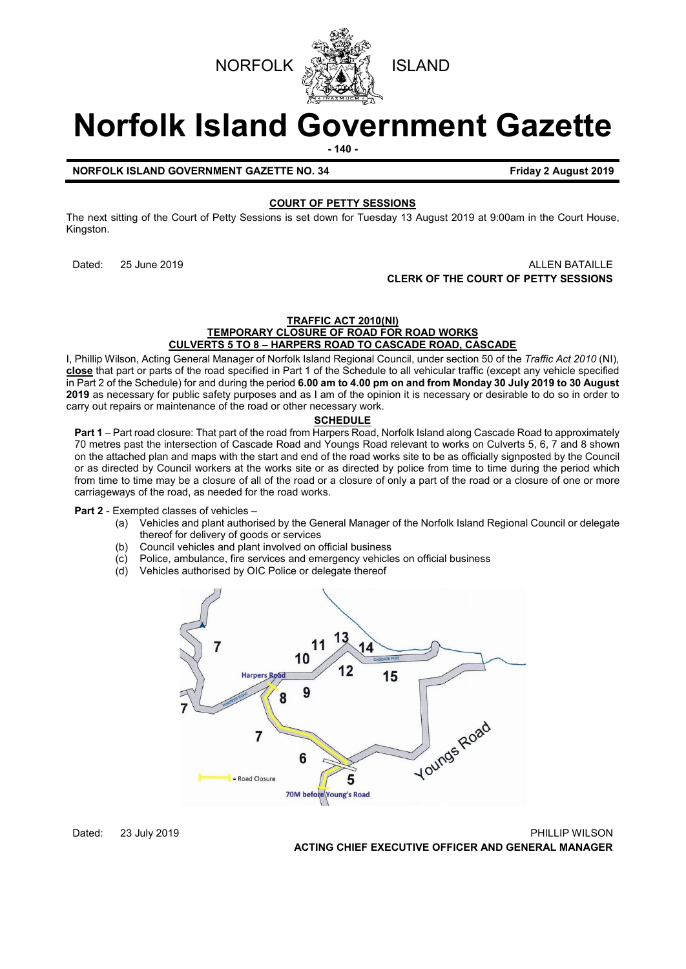



# **Norfolk Island Government Gazette**

**- 140 -**

**NORFOLK ISLAND GOVERNMENT GAZETTE NO. 34 Friday 2 August 2019** 

# **COURT OF PETTY SESSIONS**

The next sitting of the Court of Petty Sessions is set down for Tuesday 13 August 2019 at 9:00am in the Court House, Kingston.

# Dated: 25 June 2019 ALLEN BATAILLE **CLERK OF THE COURT OF PETTY SESSIONS**

# **TRAFFIC ACT 2010(NI)**

**TEMPORARY CLOSURE OF ROAD FOR ROAD WORKS CULVERTS 5 TO 8 – HARPERS ROAD TO CASCADE ROAD, CASCADE**

I, Phillip Wilson, Acting General Manager of Norfolk Island Regional Council, under section 50 of the *Traffic Act 2010* (NI), **close** that part or parts of the road specified in Part 1 of the Schedule to all vehicular traffic (except any vehicle specified in Part 2 of the Schedule) for and during the period **6.00 am to 4.00 pm on and from Monday 30 July 2019 to 30 August 2019** as necessary for public safety purposes and as I am of the opinion it is necessary or desirable to do so in order to carry out repairs or maintenance of the road or other necessary work.

# **SCHEDULE**

**Part 1** – Part road closure: That part of the road from Harpers Road, Norfolk Island along Cascade Road to approximately 70 metres past the intersection of Cascade Road and Youngs Road relevant to works on Culverts 5, 6, 7 and 8 shown on the attached plan and maps with the start and end of the road works site to be as officially signposted by the Council or as directed by Council workers at the works site or as directed by police from time to time during the period which from time to time may be a closure of all of the road or a closure of only a part of the road or a closure of one or more carriageways of the road, as needed for the road works.

**Part 2** - Exempted classes of vehicles –<br>(a) Vehicles and plant author

- Vehicles and plant authorised by the General Manager of the Norfolk Island Regional Council or delegate thereof for delivery of goods or services
- (b) Council vehicles and plant involved on official business<br>(c) Police, ambulance, fire services and emergency vehicle
- Police, ambulance, fire services and emergency vehicles on official business
- (d) Vehicles authorised by OIC Police or delegate thereof



Dated: 23 July 2019 PHILLIP WILSON

**ACTING CHIEF EXECUTIVE OFFICER AND GENERAL MANAGER**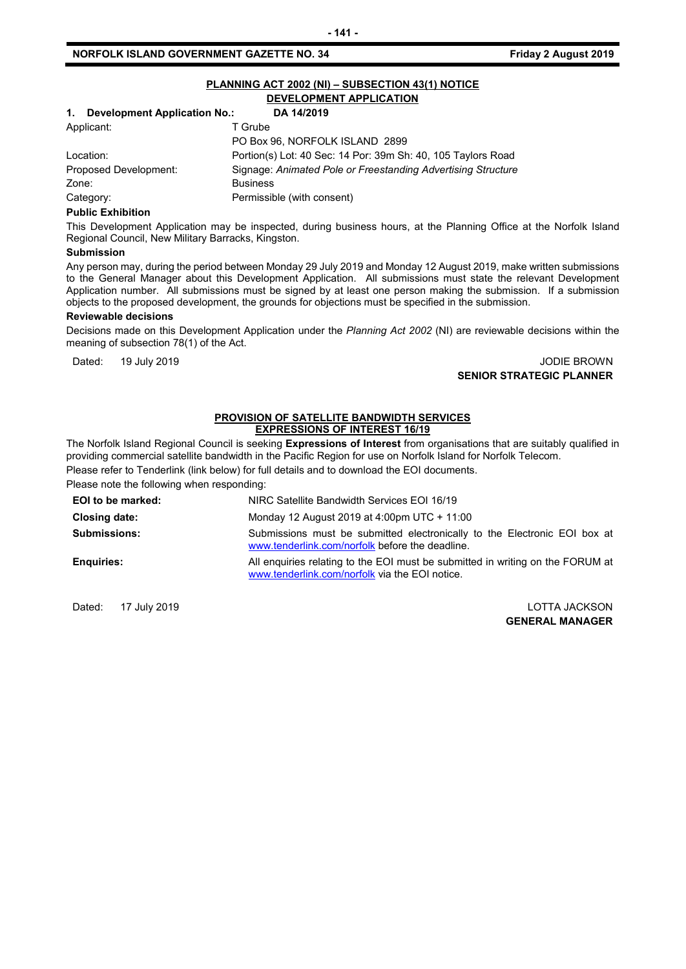# **NORFOLK ISLAND GOVERNMENT GAZETTE NO. 34 Friday 2 August 2019**

| PLANNING ACT 2002 (NI) - SUBSECTION 43(1) NOTICE |                                                              |  |
|--------------------------------------------------|--------------------------------------------------------------|--|
| DEVELOPMENT APPLICATION                          |                                                              |  |
| <b>Development Application No.:</b><br>1.        | DA 14/2019                                                   |  |
| Applicant:                                       | T Grube                                                      |  |
|                                                  | PO Box 96, NORFOLK ISLAND 2899                               |  |
| Location:                                        | Portion(s) Lot: 40 Sec: 14 Por: 39m Sh: 40, 105 Taylors Road |  |
| Proposed Development:                            | Signage: Animated Pole or Freestanding Advertising Structure |  |
| Zone:                                            | <b>Business</b>                                              |  |
| Category:                                        | Permissible (with consent)                                   |  |
| <b>Dublic Evhibition</b>                         |                                                              |  |

#### **Public Exhibition**

This Development Application may be inspected, during business hours, at the Planning Office at the Norfolk Island Regional Council, New Military Barracks, Kingston.

#### **Submission**

Any person may, during the period between Monday 29 July 2019 and Monday 12 August 2019, make written submissions to the General Manager about this Development Application. All submissions must state the relevant Development Application number. All submissions must be signed by at least one person making the submission. If a submission objects to the proposed development, the grounds for objections must be specified in the submission.

#### **Reviewable decisions**

Decisions made on this Development Application under the *Planning Act 2002* (NI) are reviewable decisions within the meaning of subsection 78(1) of the Act.

Dated: 19 July 2019 JODIE BROWN **SENIOR STRATEGIC PLANNER**

#### **PROVISION OF SATELLITE BANDWIDTH SERVICES EXPRESSIONS OF INTEREST 16/19**

The Norfolk Island Regional Council is seeking **Expressions of Interest** from organisations that are suitably qualified in providing commercial satellite bandwidth in the Pacific Region for use on Norfolk Island for Norfolk Telecom.

Please refer to Tenderlink (link below) for full details and to download the EOI documents.

Please note the following when responding:

| EOI to be marked:   | NIRC Satellite Bandwidth Services EOI 16/19                                                                                      |
|---------------------|----------------------------------------------------------------------------------------------------------------------------------|
| Closing date:       | Monday 12 August 2019 at 4:00pm UTC + 11:00                                                                                      |
| <b>Submissions:</b> | Submissions must be submitted electronically to the Electronic EOI box at<br>www.tenderlink.com/norfolk before the deadline.     |
| <b>Enguiries:</b>   | All enquiries relating to the EOI must be submitted in writing on the FORUM at<br>www.tenderlink.com/norfolk via the EOI notice. |

Dated: 17 July 2019 LOTTA JACKSON

**GENERAL MANAGER**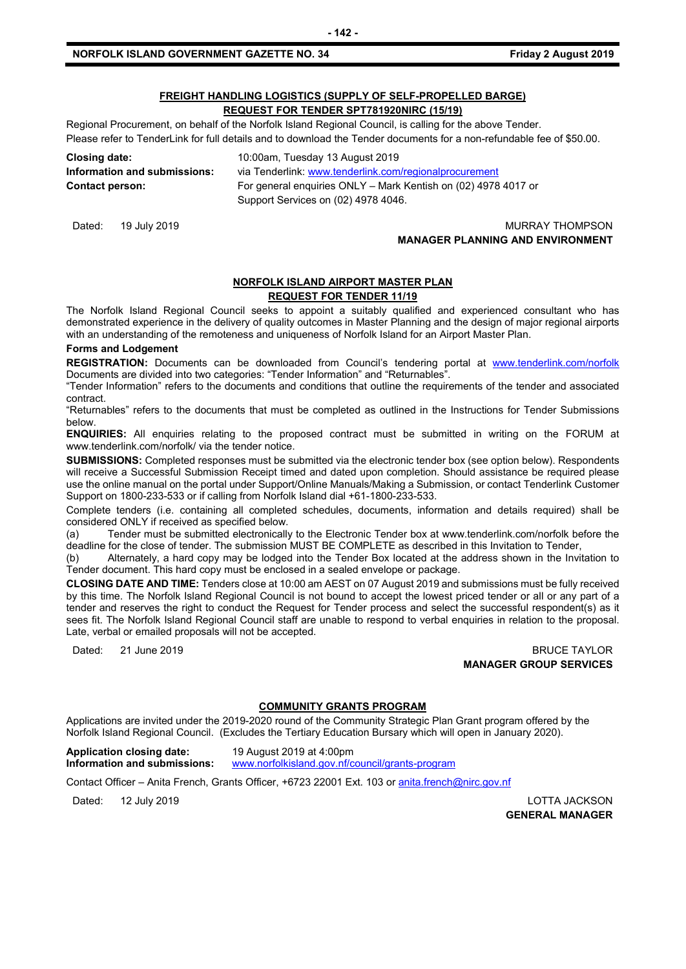# **FREIGHT HANDLING LOGISTICS (SUPPLY OF SELF-PROPELLED BARGE)**

**REQUEST FOR TENDER SPT781920NIRC (15/19)**

Regional Procurement, on behalf of the Norfolk Island Regional Council, is calling for the above Tender. Please refer to TenderLink for full details and to download the Tender documents for a non-refundable fee of \$50.00.

| Closing date:                | 10:00am, Tuesday 13 August 2019                                |
|------------------------------|----------------------------------------------------------------|
| Information and submissions: | via Tenderlink: www.tenderlink.com/regionalprocurement         |
| <b>Contact person:</b>       | For general enguiries ONLY – Mark Kentish on (02) 4978 4017 or |
|                              | Support Services on (02) 4978 4046.                            |

Dated: 19 July 2019 **MURRAY THOMPSON MANAGER PLANNING AND ENVIRONMENT**

# **NORFOLK ISLAND AIRPORT MASTER PLAN REQUEST FOR TENDER 11/19**

The Norfolk Island Regional Council seeks to appoint a suitably qualified and experienced consultant who has demonstrated experience in the delivery of quality outcomes in Master Planning and the design of major regional airports with an understanding of the remoteness and uniqueness of Norfolk Island for an Airport Master Plan.

# **Forms and Lodgement**

REGISTRATION: Documents can be downloaded from Council's tendering portal at [www.tenderlink.com/norfolk](http://www.tenderlink.com/norfolk) Documents are divided into two categories: "Tender Information" and "Returnables".

"Tender Information" refers to the documents and conditions that outline the requirements of the tender and associated contract.

"Returnables" refers to the documents that must be completed as outlined in the Instructions for Tender Submissions below.

**ENQUIRIES:** All enquiries relating to the proposed contract must be submitted in writing on the FORUM at www.tenderlink.com/norfolk/ via the tender notice.

**SUBMISSIONS:** Completed responses must be submitted via the electronic tender box (see option below). Respondents will receive a Successful Submission Receipt timed and dated upon completion. Should assistance be required please use the online manual on the portal under Support/Online Manuals/Making a Submission, or contact Tenderlink Customer Support on 1800-233-533 or if calling from Norfolk Island dial +61-1800-233-533.

Complete tenders (i.e. containing all completed schedules, documents, information and details required) shall be considered ONLY if received as specified below.

(a) Tender must be submitted electronically to the Electronic Tender box at www.tenderlink.com/norfolk before the deadline for the close of tender. The submission MUST BE COMPLETE as described in this Invitation to Tender,

(b) Alternately, a hard copy may be lodged into the Tender Box located at the address shown in the Invitation to Tender document. This hard copy must be enclosed in a sealed envelope or package.

**CLOSING DATE AND TIME:** Tenders close at 10:00 am AEST on 07 August 2019 and submissions must be fully received by this time. The Norfolk Island Regional Council is not bound to accept the lowest priced tender or all or any part of a tender and reserves the right to conduct the Request for Tender process and select the successful respondent(s) as it sees fit. The Norfolk Island Regional Council staff are unable to respond to verbal enquiries in relation to the proposal. Late, verbal or emailed proposals will not be accepted.

Dated: 21 June 2019 BRUCE TAYLOR **MANAGER GROUP SERVICES**

#### **COMMUNITY GRANTS PROGRAM**

Applications are invited under the 2019-2020 round of the Community Strategic Plan Grant program offered by the Norfolk Island Regional Council. (Excludes the Tertiary Education Bursary which will open in January 2020).

**Application closing date:** 19 August 2019 at 4:00pm **Information and submissions:** [www.norfolkisland.gov.nf/council/grants-program](http://www.norfolkisland.gov.nf/council/grants-program)

Contact Officer - Anita French, Grants Officer, +6723 22001 Ext. 103 or [anita.french@nirc.gov.nf](mailto:anita.french@nirc.gov.nf)

Dated: 12 July 2019 LOTTA JACKSON

**GENERAL MANAGER**